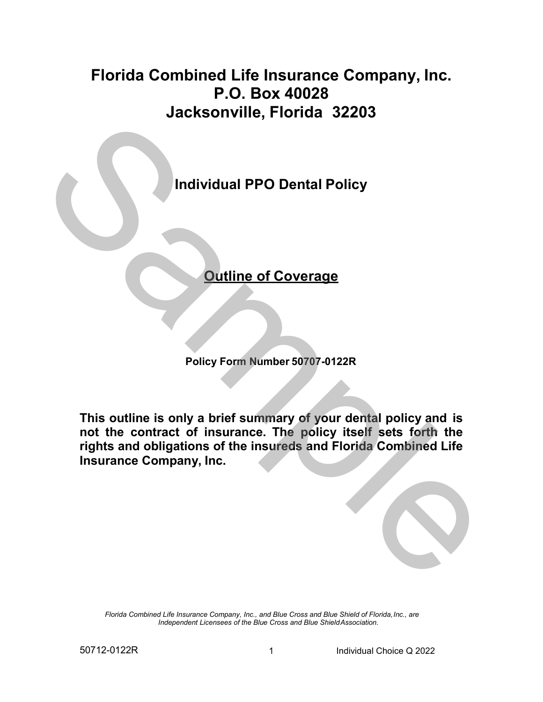# **Florida Combined Life Insurance Company, Inc. P.O. Box 40028 Jacksonville, Florida 32203**



**Policy Form Number 50707-0122R**

**This outline is only a brief summary of your dental policy and is not the contract of insurance. The policy itself sets forth the rights and obligations of the insureds and Florida Combined Life Insurance Company, Inc.**

*Florida Combined Life Insurance Company, Inc., and Blue Cross and Blue Shield of Florida,Inc., are Independent Licensees of the Blue Cross and Blue ShieldAssociation.*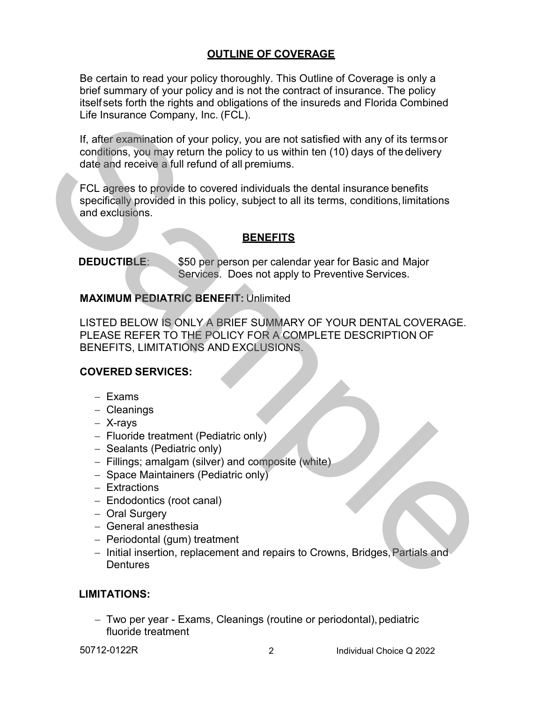## **OUTLINE OF COVERAGE**

Be certain to read your policy thoroughly. This Outline of Coverage is only a brief summary of your policy and is not the contract of insurance. The policy itself sets forth the rights and obligations of the insureds and Florida Combined Life Insurance Company, Inc. (FCL).

If, after examination of your policy, you are not satisfied with any of its termsor conditions, you may return the policy to us within ten (10) days of the delivery date and receive a full refund of all premiums.

FCL agrees to provide to covered individuals the dental insurance benefits specifically provided in this policy, subject to all its terms, conditions,limitations and exclusions.

## **BENEFITS**

**DEDUCTIBLE**: \$50 per person per calendar year for Basic and Major Services. Does not apply to Preventive Services.

#### **MAXIMUM PEDIATRIC BENEFIT:** Unlimited

LISTED BELOW IS ONLY A BRIEF SUMMARY OF YOUR DENTAL COVERAGE. PLEASE REFER TO THE POLICY FOR A COMPLETE DESCRIPTION OF BENEFITS, LIMITATIONS AND EXCLUSIONS. Lie Insulance Company, inc. (FCL)<br>
1. after examination of your menosity you are not satisfied with any of its terms of<br>
conditions, you may return the policy to us within ten (10) days of the delivery<br>
date and neceive a

## **COVERED SERVICES:**

- − Exams
- − Cleanings
- − X-rays
- − Fluoride treatment (Pediatric only)
- − Sealants (Pediatric only)
- − Fillings; amalgam (silver) and composite (white)
- − Space Maintainers (Pediatric only)
- − Extractions
- − Endodontics (root canal)
- − Oral Surgery
- − General anesthesia
- − Periodontal (gum) treatment
- − Initial insertion, replacement and repairs to Crowns, Bridges,Partials and **Dentures**

## **LIMITATIONS:**

− Two per year - Exams, Cleanings (routine or periodontal),pediatric fluoride treatment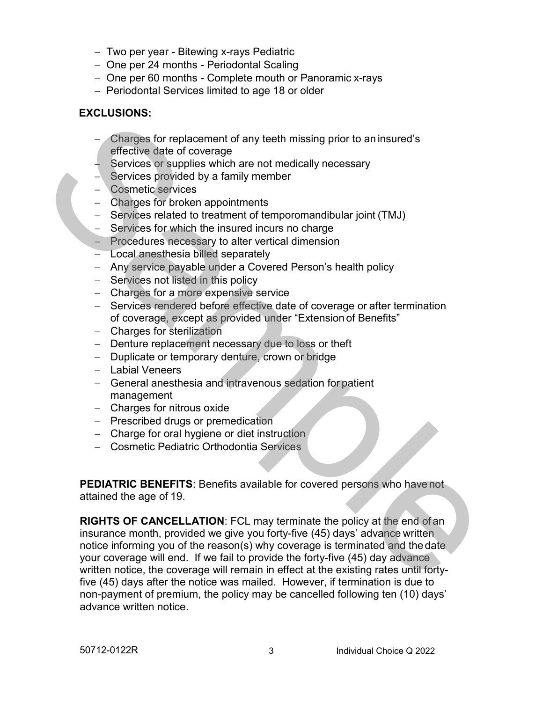- − Two per year Bitewing x-rays Pediatric
- − One per 24 months Periodontal Scaling
- − One per 60 months Complete mouth or Panoramic x-rays
- − Periodontal Services limited to age 18 or older

# **EXCLUSIONS:**

- Charges for replacement of any teeth missing prior to an insured's effective date of coverage
- − Services or supplies which are not medically necessary
- − Services provided by a family member
- − Cosmetic services
- − Charges for broken appointments
- − Services related to treatment of temporomandibular joint (TMJ)
- − Services for which the insured incurs no charge
- − Procedures necessary to alter vertical dimension
- − Local anesthesia billed separately
- − Any service payable under a Covered Person's health policy
- − Services not listed in this policy
- − Charges for a more expensive service
- − Services rendered before effective date of coverage or after termination of coverage, except as provided under "Extension of Benefits"
- − Charges for sterilization
- − Denture replacement necessary due to loss or theft
- − Duplicate or temporary denture, crown or bridge
- − Labial Veneers
- − General anesthesia and intravenous sedation for patient management
- − Charges for nitrous oxide
- − Prescribed drugs or premedication
- − Charge for oral hygiene or diet instruction
- − Cosmetic Pediatric Orthodontia Services

**PEDIATRIC BENEFITS**: Benefits available for covered persons who have not attained the age of 19.

**RIGHTS OF CANCELLATION**: FCL may terminate the policy at the end of an insurance month, provided we give you forty-five (45) days' advance written notice informing you of the reason(s) why coverage is terminated and the date your coverage will end. If we fail to provide the forty-five (45) day advance written notice, the coverage will remain in effect at the existing rates until fortyfive (45) days after the notice was mailed. However, if termination is due to non-payment of premium, the policy may be cancelled following ten (10) days' advance written notice. Changes for replacement of any teeth missing prior to an insured's<br>
directive date of coverage<br>
Services a souplies which are not medically necessary<br>
Services a souplied by a family member<br>
- Changes for broken appointmen